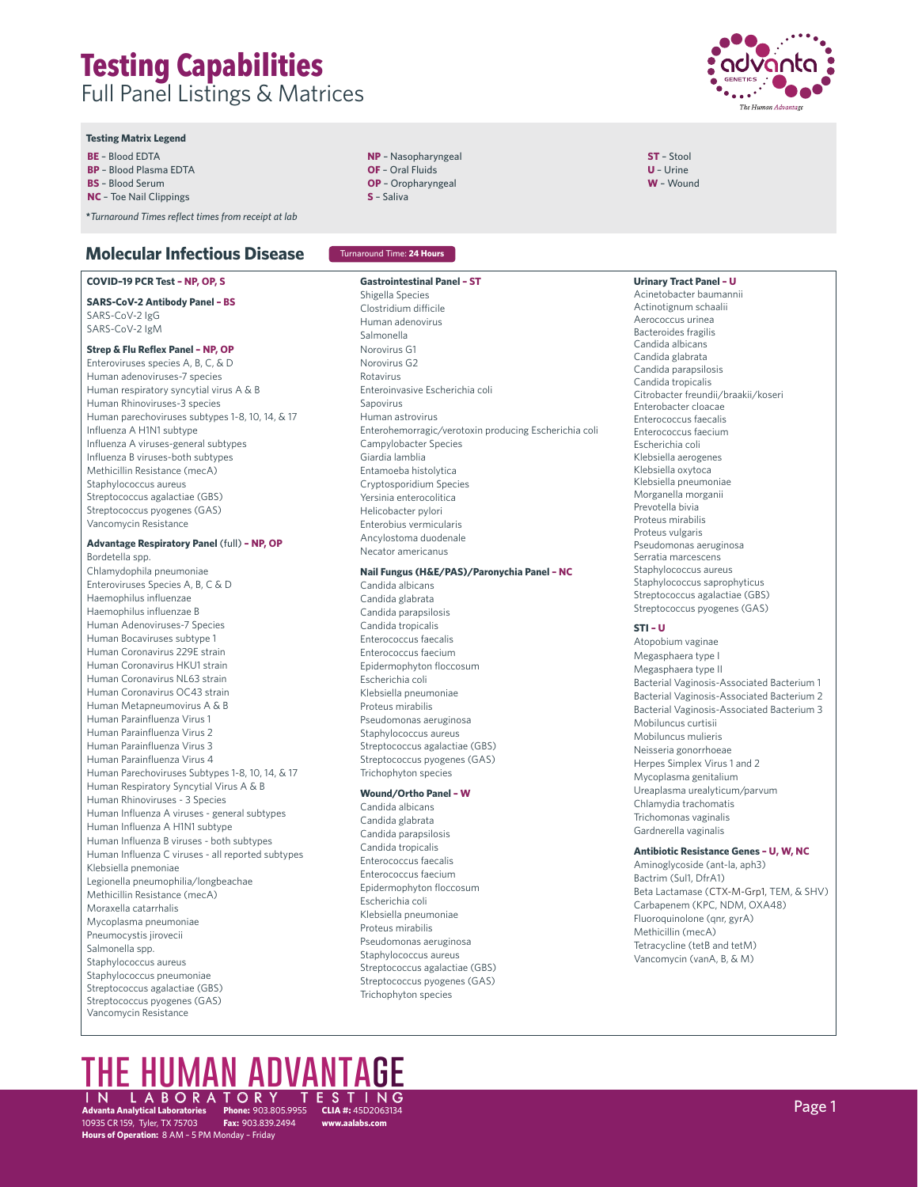#### **Testing Matrix Legend**

**BE** – Blood EDTA

**BP** – Blood Plasma EDTA

**BS** – Blood Serum

**NC** – Toe Nail Clippings

**\****Turnaround Times reflect times from receipt at lab*

# **Molecular Infectious Disease**

#### **COVID–19 PCR Test – NP, OP, S**

**SARS-CoV-2 Antibody Panel – BS** SARS-CoV-2 IgG SARS-CoV-2 IgM

#### **Strep & Flu Reflex Panel – NP, OP**

Enteroviruses species A, B, C, & D Human adenoviruses-7 species Human respiratory syncytial virus A & B Human Rhinoviruses-3 species Human parechoviruses subtypes 1-8, 10, 14, & 17 Influenza A H1N1 subtype Influenza A viruses-general subtypes Influenza B viruses-both subtypes Methicillin Resistance (mecA) Staphylococcus aureus Streptococcus agalactiae (GBS) Streptococcus pyogenes (GAS) Vancomycin Resistance

# **Advantage Respiratory Panel** (full) **– NP, OP**

Bordetella spp. Chlamydophila pneumoniae Enteroviruses Species A, B, C & D Haemophilus influenzae Haemophilus influenzae B Human Adenoviruses-7 Species Human Bocaviruses subtype 1 Human Coronavirus 229E strain Human Coronavirus HKU1 strain Human Coronavirus NL63 strain Human Coronavirus OC43 strain Human Metapneumovirus A & B Human Parainfluenza Virus 1 Human Parainfluenza Virus 2 Human Parainfluenza Virus 3 Human Parainfluenza Virus 4 Human Parechoviruses Subtypes 1-8, 10, 14, & 17 Human Respiratory Syncytial Virus A & B Human Rhinoviruses - 3 Species Human Influenza A viruses - general subtypes Human Influenza A H1N1 subtype Human Influenza B viruses - both subtypes Human Influenza C viruses - all reported subtypes Klebsiella pnemoniae Legionella pneumophilia/longbeachae Methicillin Resistance (mecA) Moraxella catarrhalis Mycoplasma pneumoniae Pneumocystis jirovecii Salmonella spp. Staphylococcus aureus Staphylococcus pneumoniae Streptococcus agalactiae (GBS) Streptococcus pyogenes (GAS) Vancomycin Resistance

- **NP** Nasopharyngeal **OF** – Oral Fluids
- **OP** Oropharyngeal **S** – Saliva
- 

### Turnaround Time: **24 Hours**

#### **Gastrointestinal Panel – ST**

Shigella Species Clostridium difficile Human adenovirus Salmonella Norovirus G1 Norovirus G2 Rotavirus Enteroinvasive Escherichia coli Sapovirus Human astrovirus Enterohemorragic/verotoxin producing Escherichia coli Campylobacter Species Giardia lamblia Entamoeba histolytica Cryptosporidium Species Yersinia enterocolitica Helicobacter pylori Enterobius vermicularis Ancylostoma duodenale Necator americanus

# **Nail Fungus (H&E/PAS)/Paronychia Panel – NC**

Candida albicans Candida glabrata Candida parapsilosis Candida tropicalis Enterococcus faecalis Enterococcus faecium Epidermophyton floccosum Escherichia coli Klebsiella pneumoniae Proteus mirabilis Pseudomonas aeruginosa Staphylococcus aureus Streptococcus agalactiae (GBS) Streptococcus pyogenes (GAS) Trichophyton species

#### **Wound/Ortho Panel – W**

Candida albicans Candida glabrata Candida parapsilosis Candida tropicalis Enterococcus faecalis Enterococcus faecium Epidermophyton floccosum Escherichia coli Klebsiella pneumoniae Proteus mirabilis Pseudomonas aeruginosa Staphylococcus aureus Streptococcus agalactiae (GBS) Streptococcus pyogenes (GAS) Trichophyton species

**www.aalabs.com**



**ST** – Stool **U** – Urine **W** – Wound

**Urinary Tract Panel – U** Acinetobacter baumannii Actinotignum schaalii Aerococcus urinea Bacteroides fragilis Candida albicans Candida glabrata Candida parapsilosis Candida tropicalis Citrobacter freundii/braakii/koseri Enterobacter cloacae Enterococcus faecalis Enterococcus faecium Escherichia coli Klebsiella aerogenes Klebsiella oxytoca Klebsiella pneumoniae Morganella morganii Prevotella bivia Proteus mirabilis Proteus vulgaris Pseudomonas aeruginosa Serratia marcescens Staphylococcus aureus Staphylococcus saprophyticus Streptococcus agalactiae (GBS) Streptococcus pyogenes (GAS)

#### **STI – U**

Atopobium vaginae Megasphaera type I Megasphaera type II Bacterial Vaginosis-Associated Bacterium 1 Bacterial Vaginosis-Associated Bacterium 2 Bacterial Vaginosis-Associated Bacterium 3 Mobiluncus curtisii Mobiluncus mulieris Neisseria gonorrhoeae Herpes Simplex Virus 1 and 2 Mycoplasma genitalium Ureaplasma urealyticum/parvum Chlamydia trachomatis Trichomonas vaginalis Gardnerella vaginalis

#### **Antibiotic Resistance Genes – U, W, NC**

Aminoglycoside (ant-la, aph3) Bactrim (Sul1, DfrA1) Beta Lactamase (CTX-M-Grp1, TEM, & SHV) Carbapenem (KPC, NDM, OXA48) Fluoroquinolone (qnr, gyrA) Methicillin (mecA) Tetracycline (tetB and tetM) Vancomycin (vanA, B, & M)

# **the human advantage**

**Advanta Analytical Laboratories Phone:** 903.805.9955 IN LABORATORY TESTING Page 1 10935 CR 159, Tyler, TX 75703 **Fax:** 903.839.2494 **Hours of Operation:** 8 AM – 5 PM Monday – Friday **CLIA #:** 45D2063134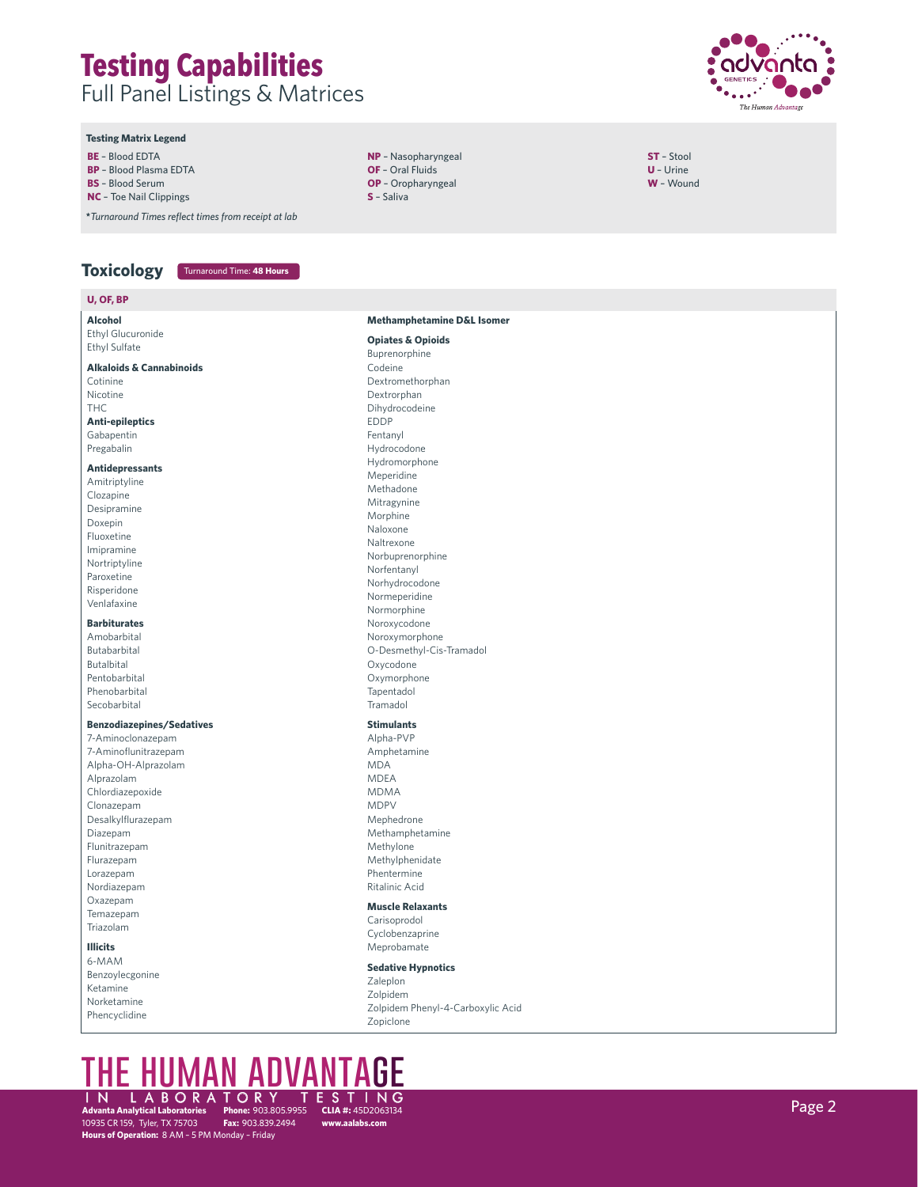

**ST** – Stool **U** – Urine **W** – Wound

#### **Testing Matrix Legend**

- **BE** Blood EDTA
- **BP** Blood Plasma EDTA
- **BS** Blood Serum
- **NC** Toe Nail Clippings

**U, OF, BP**

**\****Turnaround Times reflect times from receipt at lab*

### **Toxicology** Turnaround Time: **48 Hours**

| U, Ur, BP                           |                                       |
|-------------------------------------|---------------------------------------|
| Alcohol                             | <b>Methamphetamine D&amp;L Isomer</b> |
| Ethyl Glucuronide                   |                                       |
| Ethyl Sulfate                       | <b>Opiates &amp; Opioids</b>          |
| <b>Alkaloids &amp; Cannabinoids</b> | Buprenorphine<br>Codeine              |
| Cotinine                            | Dextromethorphan                      |
| Nicotine                            | Dextrorphan                           |
| <b>THC</b>                          | Dihydrocodeine                        |
| <b>Anti-epileptics</b>              | <b>EDDP</b>                           |
| Gabapentin                          | Fentanyl                              |
| Pregabalin                          | Hydrocodone                           |
|                                     | Hydromorphone                         |
| <b>Antidepressants</b>              | Meperidine                            |
| Amitriptyline                       | Methadone                             |
| Clozapine                           | Mitragynine                           |
| Desipramine                         | Morphine                              |
| Doxepin                             | Naloxone                              |
| Fluoxetine                          | Naltrexone                            |
| Imipramine                          | Norbuprenorphine                      |
| Nortriptyline                       | Norfentanyl                           |
| Paroxetine                          | Norhydrocodone                        |
| Risperidone                         | Normeperidine                         |
| Venlafaxine                         | Normorphine                           |
| <b>Barbiturates</b>                 | Noroxycodone                          |
| Amobarbital                         | Noroxymorphone                        |
| Butabarbital                        | O-Desmethyl-Cis-Tramadol              |
| Butalbital                          | Oxycodone                             |
| Pentobarbital                       | Oxymorphone                           |
| Phenobarbital                       | Tapentadol                            |
| Secobarbital                        | Tramadol                              |
| <b>Benzodiazepines/Sedatives</b>    | <b>Stimulants</b>                     |
| 7-Aminoclonazepam                   | Alpha-PVP                             |
| 7-Aminoflunitrazepam                | Amphetamine                           |
| Alpha-OH-Alprazolam                 | <b>MDA</b>                            |
| Alprazolam                          | <b>MDEA</b>                           |
| Chlordiazepoxide                    | <b>MDMA</b>                           |
| Clonazepam                          | <b>MDPV</b>                           |
| Desalkylflurazepam                  | Mephedrone                            |
| Diazepam                            | Methamphetamine                       |
| Flunitrazepam                       | Methylone                             |
| Flurazepam                          | Methylphenidate                       |
| Lorazepam                           | Phentermine                           |
| Nordiazepam                         | Ritalinic Acid                        |
| Oxazepam                            | <b>Muscle Relaxants</b>               |
| Temazepam                           | Carisoprodol                          |
| Triazolam                           | Cyclobenzaprine                       |
| <b>Illicits</b>                     | Meprobamate                           |
| 6-MAM                               |                                       |
| Benzoylecgonine                     | <b>Sedative Hypnotics</b><br>Zaleplon |
| Ketamine                            | Zolpidem                              |
| Norketamine                         | Zolpidem Phenyl-4-Carboxylic Acid     |
| Phencyclidine                       | Zopiclone                             |

**NP** – Nasopharyngeal **OF** – Oral Fluids **OP** – Oropharyngeal **S** – Saliva

# **the human advantage**  IN LABORATORY TESTING<br>Advanta Analytical Laboratories Phone: 903.805.9955 CLIA #: 45D2063134 Page 2008 Page 2008 Page 2008 Page 2008

**Advanta Analytical Laboratories Advanta Analytical Laboratories Phone:** 903.805.9955<br>10935 CR 159, Tyler, TX 75703 **Fax:** 903.839.2494 **Hours of Operation:** 8 AM – 5 PM Monday – Friday

**CLIA #:** 45D2063134 **www.aalabs.com**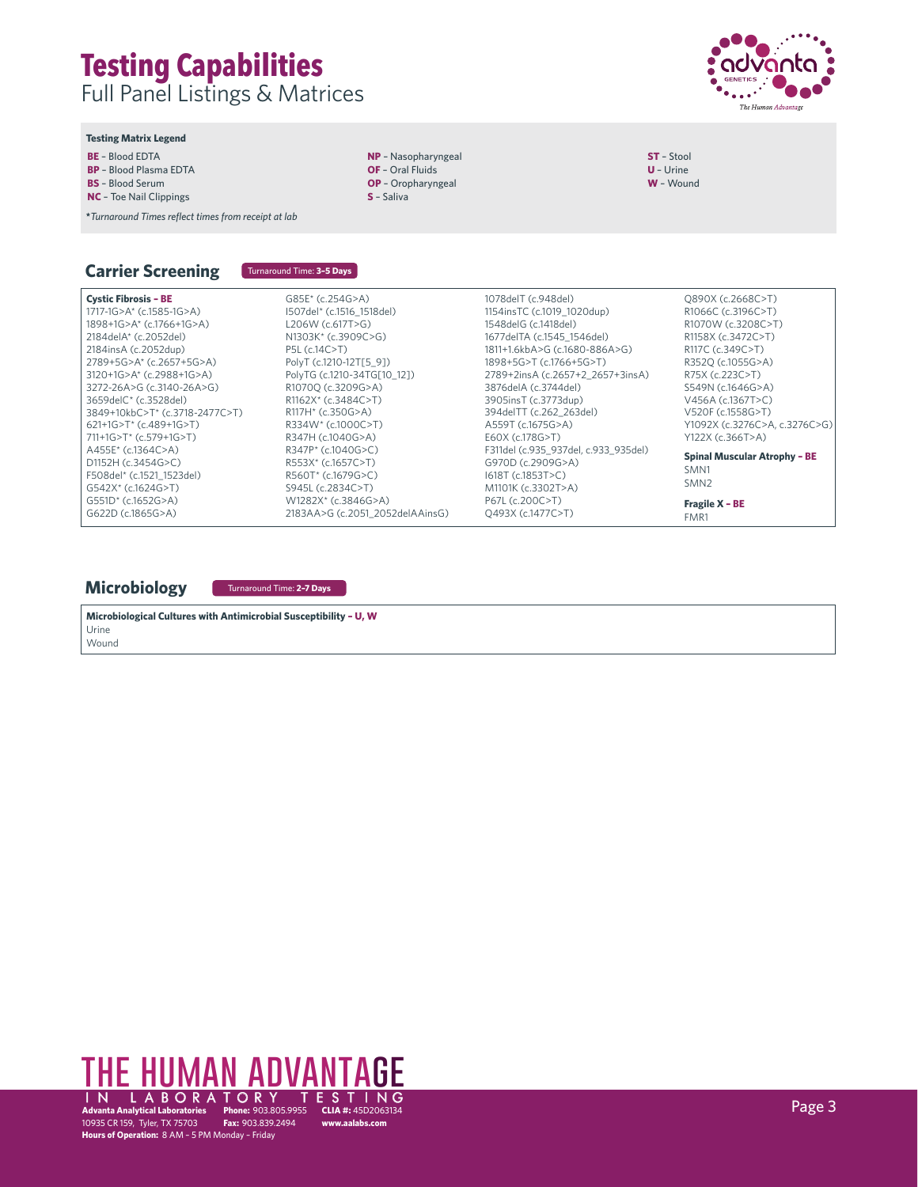

**ST** – Stool **U** – Urine **W** – Wound

#### **Testing Matrix Legend**

- **BE** Blood EDTA
- **BP** Blood Plasma EDTA
- **BS** Blood Serum
- **NC** Toe Nail Clippings

**\****Turnaround Times reflect times from receipt at lab*

# **Carrier Screening**

Turnaround Time: **3–5 Days**

**NP** – Nasopharyngeal **OF** – Oral Fluids **OP** – Oropharyngeal **S** – Saliva

#### **Cystic Fibrosis – BE** 1717-1G>A\* (c.1585-1G>A) 1898+1G>A\* (c.1766+1G>A) 2184delA\* (c.2052del) 2184insA (c.2052dup) 2789+5G>A\* (c.2657+5G>A) 3120+1G>A\* (c.2988+1G>A) 3272-26A>G (c.3140-26A>G) 3659delC\* (c.3528del) 3849+10kbC>T\* (c.3718-2477C>T) 621+1G>T\* (c.489+1G>T) 711+1G>T\* (c.579+1G>T) A455E\* (c.1364C>A) D1152H (c.3454G>C) F508del\* (c.1521\_1523del) G542X\* (c.1624G>T)

G85E\* (c.254G>A) I507del\* (c.1516\_1518del) L206W (c.617T>G) N1303K\* (c.3909C>G) P5L (c.14C>T) PolyT (c.1210-12T[5\_9]) PolyTG (c.1210-34TG[10\_12]) R1070Q (c.3209G>A) R1162X\* (c.3484C>T) R117H\* (c.350G>A) R334W\* (c.1000C>T) R347H (c.1040G>A) R347P\* (c.1040G>C) R553X\* (c.1657C>T) R560T\* (c.1679G>C) S945L (c.2834C>T) W1282X\* (c.3846G>A)

2183AA>G (c.2051\_2052delAAinsG)

1154insTC (c.1019\_1020dup) 1548delG (c.1418del) 1677delTA (c.1545\_1546del) 1811+1.6kbA>G (c.1680-886A>G) 1898+5G>T (c.1766+5G>T) 2789+2insA (c.2657+2\_2657+3insA) 3876delA (c.3744del) 3905insT (c.3773dup) 394delTT (c.262\_263del) A559T (c.1675G>A) E60X (c.178G>T) F311del (c.935\_937del, c.933\_935del) G970D (c.2909G>A) I618T (c.1853T>C) M1101K (c.3302T>A) P67L (c.200C>T) Q493X (c.1477C>T)

1078delT (c.948del)

Q890X (c.2668C>T) R1066C (c.3196C>T) R1070W (c.3208C>T) R1158X (c.3472C>T) R117C (c.349C>T) R352Q (c.1055G>A) R75X (c.223C>T) S549N (c.1646G>A) V456A (c.1367T>C) V520F (c.1558G>T) Y1092X (c.3276C>A, c.3276C>G) Y122X (c.366T>A) **Spinal Muscular Atrophy – BE** SMN1 SMN2 **Fragile X – BE** FMR1

### **Microbiology**

G551D\* (c.1652G>A) G622D (c.1865G>A)

Turnaround Time: **2–7 Days**

**Microbiological Cultures with Antimicrobial Susceptibility – U, W** Urine

Wound

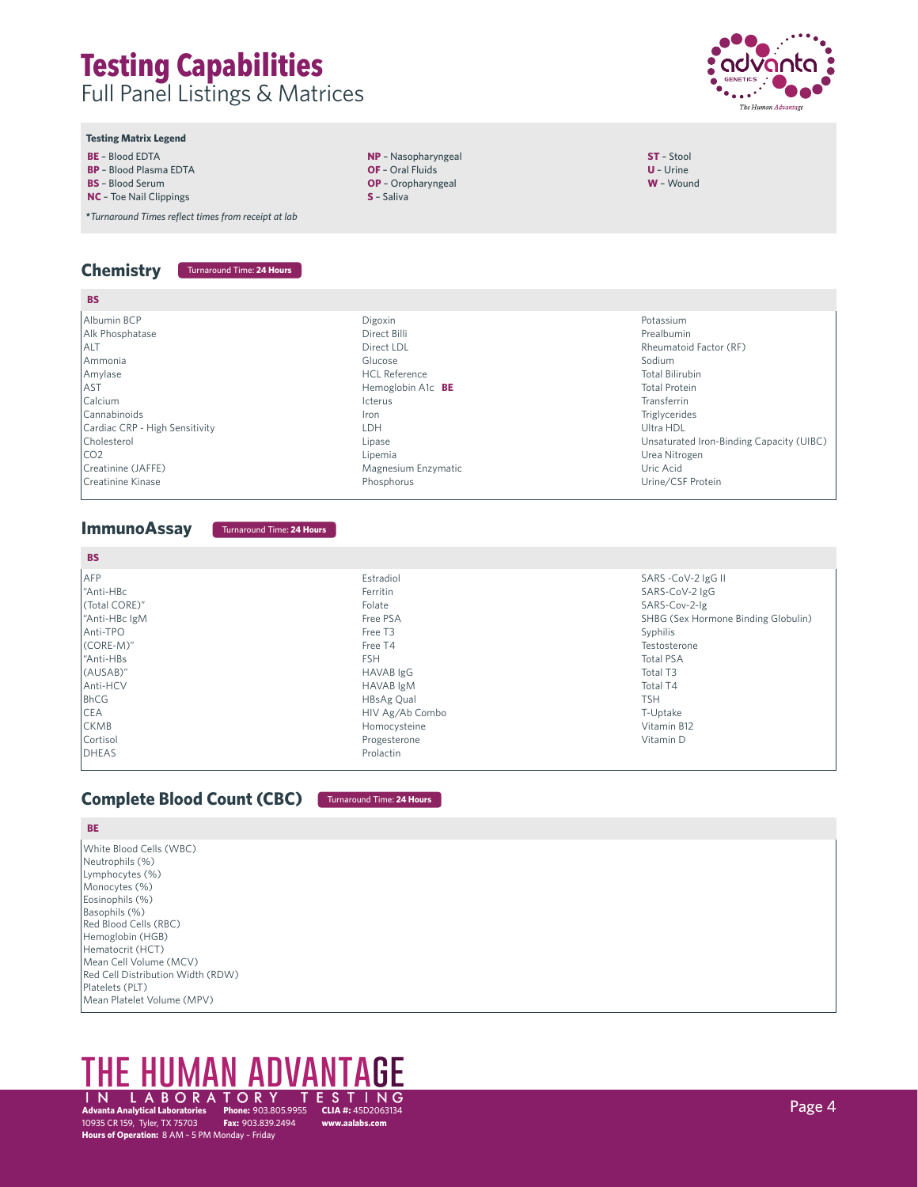

#### **Testing Matrix Legend**

- **BE** Blood EDTA
- **BP** Blood Plasma EDTA
- **BS** Blood Serum
- **NC** Toe Nail Clippings

**\****Turnaround Times reflect times from receipt at lab*

# **Chemistry** Turnaround Time: **24 Hours**

Albumin BCP Alk Phosphatase

Cholesterol CO2

Creatinine Kinase

ALT Ammonia Amylase AST Calcium Cannabinoids

**BS**

### **NP** – Nasopharyngeal **OF** – Oral Fluids

- **OP** Oropharyngeal
- **S** Saliva
- **ST**  Stool **U** – Urine **W** – Wound
- Cardiac CRP High Sensitivity Creatinine (JAFFE) Digoxin Direct Billi Direct LDL Glucose HCL Reference Hemoglobin A1c **BE** Icterus Iron LDH Lipase Lipemia Magnesium Enzymatic Phosphorus Potassium Prealbumin Rheumatoid Factor (RF) Sodium Total Bilirubin Total Protein Transferrin Triglycerides Ultra HDL Unsaturated Iron-Binding Capacity (UIBC) Urea Nitrogen Uric Acid Urine/CSF Protein

### **ImmunoAssay**

Turnaround Time: **24 Hours**

| <b>BS</b>     |                  |                                     |
|---------------|------------------|-------------------------------------|
| <b>AFP</b>    | Estradiol        | SARS -CoV-2 IgG II                  |
| "Anti-HBc     | Ferritin         | SARS-CoV-2 IgG                      |
| (Total CORE)" | Folate           | SARS-Cov-2-Ig                       |
| "Anti-HBc IgM | Free PSA         | SHBG (Sex Hormone Binding Globulin) |
| Anti-TPO      | Free T3          | Syphilis                            |
| $(CORE-M)''$  | Free T4          | Testosterone                        |
| "Anti-HBs     | <b>FSH</b>       | <b>Total PSA</b>                    |
| (AUSAB)"      | HAVAB IgG        | Total T3                            |
| Anti-HCV      | <b>HAVAB</b> IgM | Total T4                            |
| <b>BhCG</b>   | HBsAg Qual       | <b>TSH</b>                          |
| <b>CEA</b>    | HIV Ag/Ab Combo  | T-Uptake                            |
| <b>CKMB</b>   | Homocysteine     | Vitamin B12                         |
| Cortisol      | Progesterone     | Vitamin D                           |
| <b>DHEAS</b>  | Prolactin        |                                     |

# **Complete Blood Count (CBC)** Turnaround Time: **24 Hours**

### **BE**

White Blood Cells (WBC) Neutrophils (%) Lymphocytes (%) Monocytes (%) Eosinophils (%) Basophils (%) Red Blood Cells (RBC) Hemoglobin (HGB) Hematocrit (HCT) Mean Cell Volume (MCV) Red Cell Distribution Width (RDW) Platelets (PLT) Mean Platelet Volume (MPV)

# **CLIA #:** 45D2063134 **www.aalabs.com** THE HUMAN ADVA IN LABORATORY TESTING<br>Advanta Analytical Laboratories Phone: 903.805.9955 CLIA #: 45D2063134 Page 4 Page 4 Page 4 Page 4 Page 4 Page

**Advanta Analytical Laboratories Advanta Analytical Laboratories Phone:** 903.805.9955<br>10935 CR 159, Tyler, TX 75703 **Fax:** 903.839.2494 **Hours of Operation:** 8 AM – 5 PM Monday – Friday